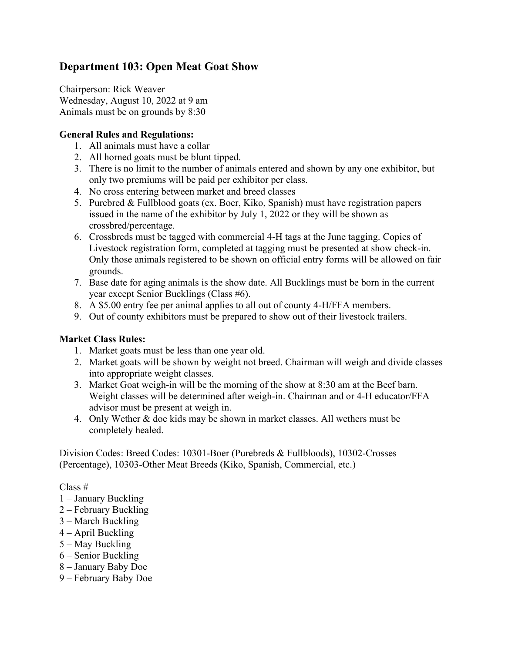# **Department 103: Open Meat Goat Show**

Chairperson: Rick Weaver Wednesday, August 10, 2022 at 9 am Animals must be on grounds by 8:30

### **General Rules and Regulations:**

- 1. All animals must have a collar
- 2. All horned goats must be blunt tipped.
- 3. There is no limit to the number of animals entered and shown by any one exhibitor, but only two premiums will be paid per exhibitor per class.
- 4. No cross entering between market and breed classes
- 5. Purebred & Fullblood goats (ex. Boer, Kiko, Spanish) must have registration papers issued in the name of the exhibitor by July 1, 2022 or they will be shown as crossbred/percentage.
- 6. Crossbreds must be tagged with commercial 4-H tags at the June tagging. Copies of Livestock registration form, completed at tagging must be presented at show check-in. Only those animals registered to be shown on official entry forms will be allowed on fair grounds.
- 7. Base date for aging animals is the show date. All Bucklings must be born in the current year except Senior Bucklings (Class #6).
- 8. A \$5.00 entry fee per animal applies to all out of county 4-H/FFA members.
- 9. Out of county exhibitors must be prepared to show out of their livestock trailers.

# **Market Class Rules:**

- 1. Market goats must be less than one year old.
- 2. Market goats will be shown by weight not breed. Chairman will weigh and divide classes into appropriate weight classes.
- 3. Market Goat weigh-in will be the morning of the show at 8:30 am at the Beef barn. Weight classes will be determined after weigh-in. Chairman and or 4-H educator/FFA advisor must be present at weigh in.
- 4. Only Wether & doe kids may be shown in market classes. All wethers must be completely healed.

Division Codes: Breed Codes: 10301-Boer (Purebreds & Fullbloods), 10302-Crosses (Percentage), 10303-Other Meat Breeds (Kiko, Spanish, Commercial, etc.)

Class #

- 1 January Buckling
- 2 February Buckling
- 3 March Buckling
- 4 April Buckling
- 5 May Buckling
- 6 Senior Buckling
- 8 January Baby Doe
- 9 February Baby Doe